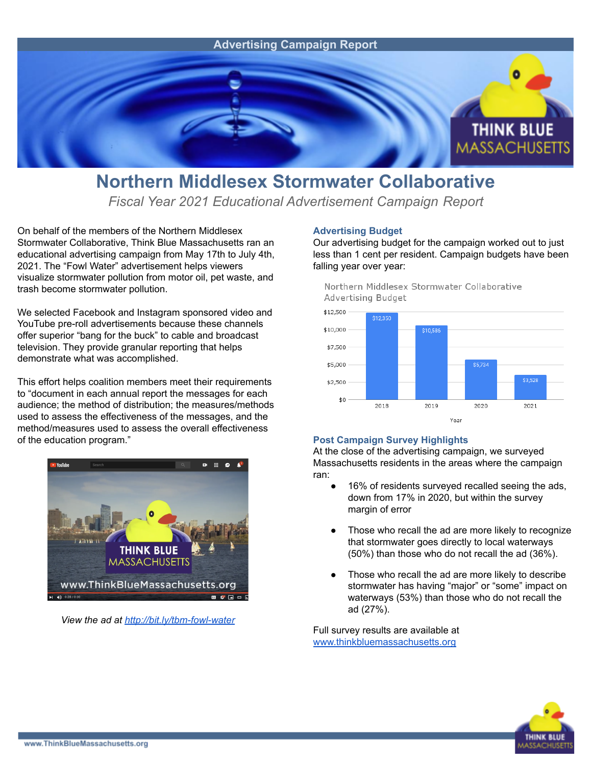

## **Northern Middlesex Stormwater Collaborative**

*Fiscal Year 2021 Educational Advertisement Campaign Report*

On behalf of the members of the Northern Middlesex Stormwater Collaborative, Think Blue Massachusetts ran an educational advertising campaign from May 17th to July 4th, 2021. The "Fowl Water" advertisement helps viewers visualize stormwater pollution from motor oil, pet waste, and trash become stormwater pollution.

We selected Facebook and Instagram sponsored video and YouTube pre-roll advertisements because these channels offer superior "bang for the buck" to cable and broadcast television. They provide granular reporting that helps demonstrate what was accomplished.

This effort helps coalition members meet their requirements to "document in each annual report the messages for each audience; the method of distribution; the measures/methods used to assess the effectiveness of the messages, and the method/measures used to assess the overall effectiveness of the education program."



*View the ad at <http://bit.ly/tbm-fowl-water>*

## **Advertising Budget**

Our advertising budget for the campaign worked out to just less than 1 cent per resident. Campaign budgets have been falling year over year:

Northern Middlesex Stormwater Collaborative Advertising Budget



## **Post Campaign Survey Highlights**

At the close of the advertising campaign, we surveyed Massachusetts residents in the areas where the campaign ran:

- 16% of residents surveyed recalled seeing the ads, down from 17% in 2020, but within the survey margin of error
- Those who recall the ad are more likely to recognize that stormwater goes directly to local waterways (50%) than those who do not recall the ad (36%).
- Those who recall the ad are more likely to describe stormwater has having "major" or "some" impact on waterways (53%) than those who do not recall the ad (27%).

Full survey results are available at [www.thinkbluemassachusetts.org](http://www.thinkbluemassachusetts.org)